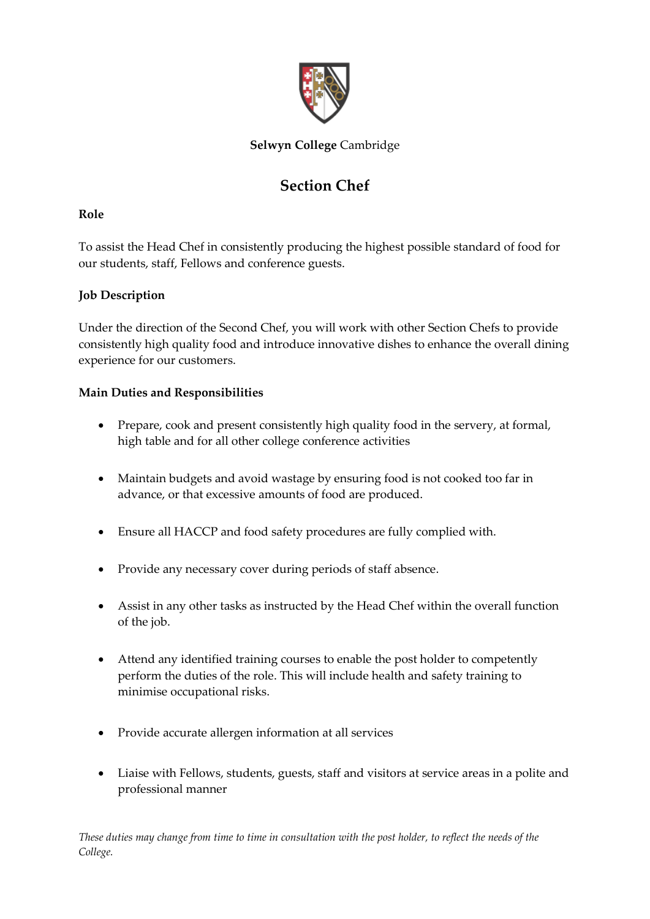

## **Selwyn College** Cambridge

# **Section Chef**

## **Role**

To assist the Head Chef in consistently producing the highest possible standard of food for our students, staff, Fellows and conference guests.

## **Job Description**

Under the direction of the Second Chef, you will work with other Section Chefs to provide consistently high quality food and introduce innovative dishes to enhance the overall dining experience for our customers.

## **Main Duties and Responsibilities**

- Prepare, cook and present consistently high quality food in the servery, at formal, high table and for all other college conference activities
- Maintain budgets and avoid wastage by ensuring food is not cooked too far in advance, or that excessive amounts of food are produced.
- Ensure all HACCP and food safety procedures are fully complied with.
- Provide any necessary cover during periods of staff absence.
- Assist in any other tasks as instructed by the Head Chef within the overall function of the job.
- Attend any identified training courses to enable the post holder to competently perform the duties of the role. This will include health and safety training to minimise occupational risks.
- Provide accurate allergen information at all services
- Liaise with Fellows, students, guests, staff and visitors at service areas in a polite and professional manner

*These duties may change from time to time in consultation with the post holder, to reflect the needs of the College.*